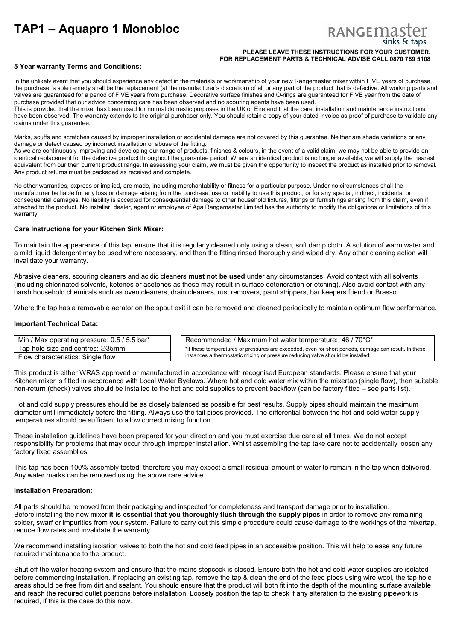# **TAP1 – Aquapro 1 Monobloc**

# RANGEMA

#### **PLEASE LEAVE THESE INSTRUCTIONS FOR YOUR CUSTOMER. FOR REPLACEMENT PARTS & TECHNICAL ADVISE CALL 0870 789 5108**

# **5 Year warranty Terms and Conditions:**

In the unlikely event that you should experience any defect in the materials or workmanship of your new Rangemaster mixer within FIVE years of purchase, the purchaser's sole remedy shall be the replacement (at the manufacturer's discretion) of all or any part of the product that is defective. All working parts and valves are guaranteed for a period of FIVE years from purchase. Decorative surface finishes and O-rings are guaranteed for FIVE year from the date of purchase provided that our advice concerning care has been observed and no scouring agents have been used. This is provided that the mixer has been used for normal domestic purposes in the UK or Eire and that the care, installation and maintenance instructions

have been observed. The warranty extends to the original purchaser only. You should retain a copy of your dated invoice as proof of purchase to validate any claims under this guarantee.

Marks, scuffs and scratches caused by improper installation or accidental damage are not covered by this guarantee. Neither are shade variations or any damage or defect caused by incorrect installation or abuse of the fitting.

As we are continuously improving and developing our range of products, finishes & colours, in the event of a valid claim, we may not be able to provide an identical replacement for the defective product throughout the guarantee period. Where an identical product is no longer available, we will supply the nearest equivalent from our then current product range. In assessing your claim, we must be given the opportunity to inspect the product as installed prior to removal. Any product returns must be packaged as received and complete.

No other warranties, express or implied, are made, including merchantability or fitness for a particular purpose. Under no circumstances shall the manufacturer be liable for any loss or damage arising from the purchase, use or inability to use this product, or for any special, indirect, incidental or consequential damages. No liability is accepted for consequential damage to other household fixtures, fittings or furnishings arising from this claim, even if attached to the product. No installer, dealer, agent or employee of Aga Rangemaster Limited has the authority to modify the obligations or limitations of this warranty.

# **Care Instructions for your Kitchen Sink Mixer:**

To maintain the appearance of this tap, ensure that it is regularly cleaned only using a clean, soft damp cloth. A solution of warm water and a mild liquid detergent may be used where necessary, and then the fitting rinsed thoroughly and wiped dry. Any other cleaning action will invalidate your warranty.

Abrasive cleaners, scouring cleaners and acidic cleaners **must not be used** under any circumstances. Avoid contact with all solvents (including chlorinated solvents, ketones or acetones as these may result in surface deterioration or etching). Also avoid contact with any harsh household chemicals such as oven cleaners, drain cleaners, rust removers, paint strippers, bar keepers friend or Brasso.

Where the tap has a removable aerator on the spout exit it can be removed and cleaned periodically to maintain optimum flow performance.

# **Important Technical Data:**

| Min /<br>V / Max operating pressure: 0.5 / 5.5 bar* |  | Recommended / Maximum hot water temperature: 46 / 70°C*                                                                                                                                  |
|-----------------------------------------------------|--|------------------------------------------------------------------------------------------------------------------------------------------------------------------------------------------|
| Tap hole size and centres: $\varnothing$ 35mm       |  | *If these temperatures or pressures are exceeded, even for short periods, damage can result. In these<br>instances a thermostatic mixing or pressure reducing valve should be installed. |
| Flow characteristics: Single flow                   |  |                                                                                                                                                                                          |

This product is either WRAS approved or manufactured in accordance with recognised European standards. Please ensure that your Kitchen mixer is fitted in accordance with Local Water Byelaws. Where hot and cold water mix within the mixertap (single flow), then suitable non-return (check) valves should be installed to the hot and cold supplies to prevent backflow (can be factory fitted – see parts list).

Hot and cold supply pressures should be as closely balanced as possible for best results. Supply pipes should maintain the maximum diameter until immediately before the fitting. Always use the tail pipes provided. The differential between the hot and cold water supply temperatures should be sufficient to allow correct mixing function.

These installation guidelines have been prepared for your direction and you must exercise due care at all times. We do not accept responsibility for problems that may occur through improper installation. Whilst assembling the tap take care not to accidentally loosen any factory fixed assemblies.

This tap has been 100% assembly tested; therefore you may expect a small residual amount of water to remain in the tap when delivered. Any water marks can be removed using the above care advice.

# **Installation Preparation:**

All parts should be removed from their packaging and inspected for completeness and transport damage prior to installation. Before installing the new mixer **it is essential that you thoroughly flush through the supply pipes** in order to remove any remaining solder, swarf or impurities from your system. Failure to carry out this simple procedure could cause damage to the workings of the mixertap, reduce flow rates and invalidate the warranty.

We recommend installing isolation valves to both the hot and cold feed pipes in an accessible position. This will help to ease any future required maintenance to the product.

Shut off the water heating system and ensure that the mains stopcock is closed. Ensure both the hot and cold water supplies are isolated before commencing installation. If replacing an existing tap, remove the tap & clean the end of the feed pipes using wire wool, the tap hole areas should be free from dirt and sealant. You should ensure that the product will both fit into the depth of the mounting surface available and reach the required outlet positions before installation. Loosely position the tap to check if any alteration to the existing pipework is required, if this is the case do this now.